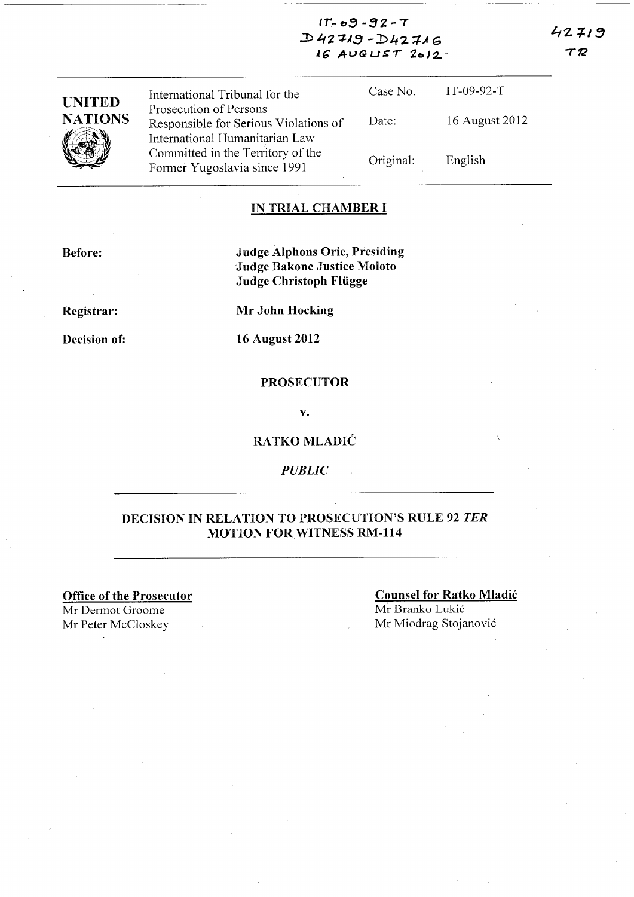$42719$ TR

| 11 - 0 <i>3 -</i> 32 - 1 |
|--------------------------|
| $D42719 - D42716$        |
| $16$ AUGUST $2012$       |

| <b>UNITED</b>  | International Tribunal for the                                                                    | Case No.  | $IT-09-92-T$   |
|----------------|---------------------------------------------------------------------------------------------------|-----------|----------------|
| <b>NATIONS</b> | Prosecution of Persons<br>Responsible for Serious Violations of<br>International Humanitarian Law | Date:     | 16 August 2012 |
|                | Committed in the Territory of the<br>Former Yugoslavia since 1991                                 | Original: | English        |

#### **IN TRIAL CHAMBER I**

**Before:** 

**Judge Alphons Orie, Presiding** Judge Bakone Justice Moloto Judge Christoph Flügge

Registrar:

Decision of:

**Mr John Hocking** 

**16 August 2012** 

#### **PROSECUTOR**

 $\mathbf{v}$ .

#### RATKO MLADIĆ

**PUBLIC** 

### DECISION IN RELATION TO PROSECUTION'S RULE 92 TER **MOTION FOR WITNESS RM-114**

**Office of the Prosecutor** 

Mr Dermot Groome Mr Peter McCloskey

# **Counsel for Ratko Mladić**

Mr Branko Lukić Mr Miodrag Stojanović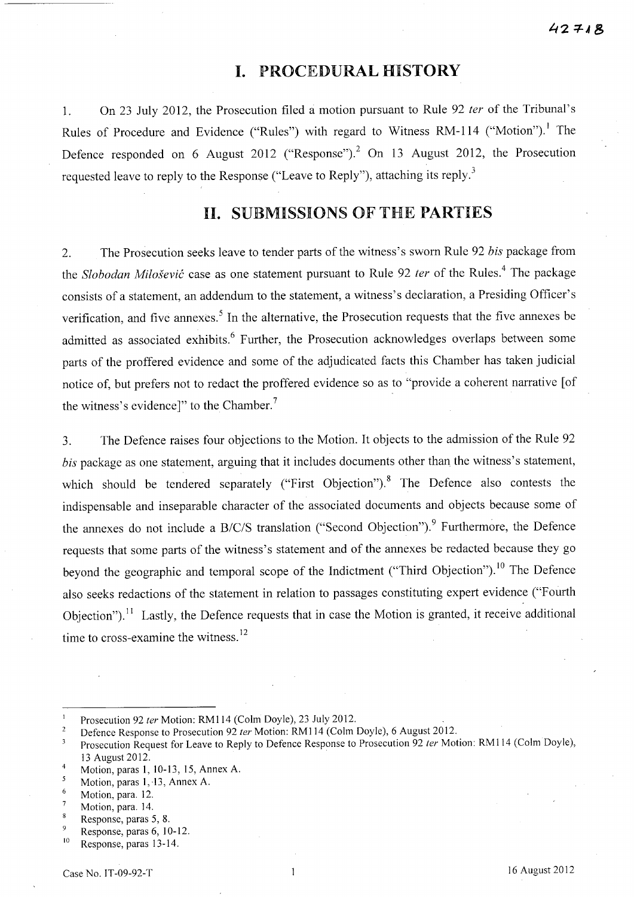# **I.** PROCEDURAL HISTORY

l. On 23 July 2012, the Prosecution filed a motion pursuant to Rule 92 *fer* of the Tribunal's Rules of Procedure and Evidence ("Rules") with regard to Witness RM-114 ("Motion").<sup>1</sup> The Defence responded on 6 August 2012 ("Response").<sup>2</sup> On 13 August 2012, the Prosecution requested leave to reply to the Response ("Leave to Reply"), attaching its reply. $3$ 

## **11.** SUBMISSIONS OF THE PARTIES

2. The Prosecution seeks leave to tender parts of the witness's sworn Rule 92 *bis* package from the *Slobodan Milosevic* case as one statement pursuant to Rule 92 *fer* of the Rules. 4 The package consists of a statement, an addendum to the statement, a witness's declaration, a Presiding Officer's verification, and five annexes.<sup>5</sup> In the alternative, the Prosecution requests that the five annexes be admitted as associated exhibits.<sup>6</sup> Further, the Prosecution acknowledges overlaps between some parts of the proffered evidence and some of the adjudicated facts this Chamber has taken judicial notice of, but prefers not to redact the proffered evidence so as to "provide a coherent narrative [of the witness's evidence]" to the Chamber.<sup>7</sup>

3. The Defence raises four objections to the Motion. It objects to the admission of the Rule 92 *bis* package as one statement, arguing that it includes documents other than the witness's statement, which should be tendered separately ("First Objection").<sup>8</sup> The Defence also contests the indispensable and inseparable character of the associated documents and objects because some of the annexes do not include a *B/C/S* translation ("Second Objection").<sup>9</sup> Furthermore, the Defence requests that some parts of the witness's statement and of the annexes be redacted because they go beyond the geographic and temporal scope of the Indictment ("Third Objection").<sup>10</sup> The Defence also seeks redactions of the statement in relation to passages constituting expert evidence ("Fourth Objection").<sup>11</sup> Lastly, the Defence requests that in case the Motion is granted, it receive additional time to cross-examine the witness.<sup>12</sup>

 $\mathbf{1}$ Prosecution 92 ter Motion: RM114 (Colm Doyle), 23 July 2012.

 $\sqrt{2}$ Defence Response to Prosecution 92 fer Motion: RM114 (Colm Doyle), 6 August 2012.

Prosecution Request for Leave to Reply to Defence Response to Prosecution 92 ter Motion: RM114 (Colm Doyle),  $\overline{\mathbf{3}}$ 13 August 2012.

 $\frac{4}{5}$  Motion, paras 1, 10-13, 15, Annex A.

Motion, paras 1, 13, Annex A.

 $\frac{6}{7}$  Motion, para. 12.

Motion, para. 14.  $\overline{8}$ 

Response, paras 5, 8.  $\overline{Q}$ 

Response, paras 6, 10-12.

<sup>&</sup>lt;sup>10</sup> Response, paras 13-14.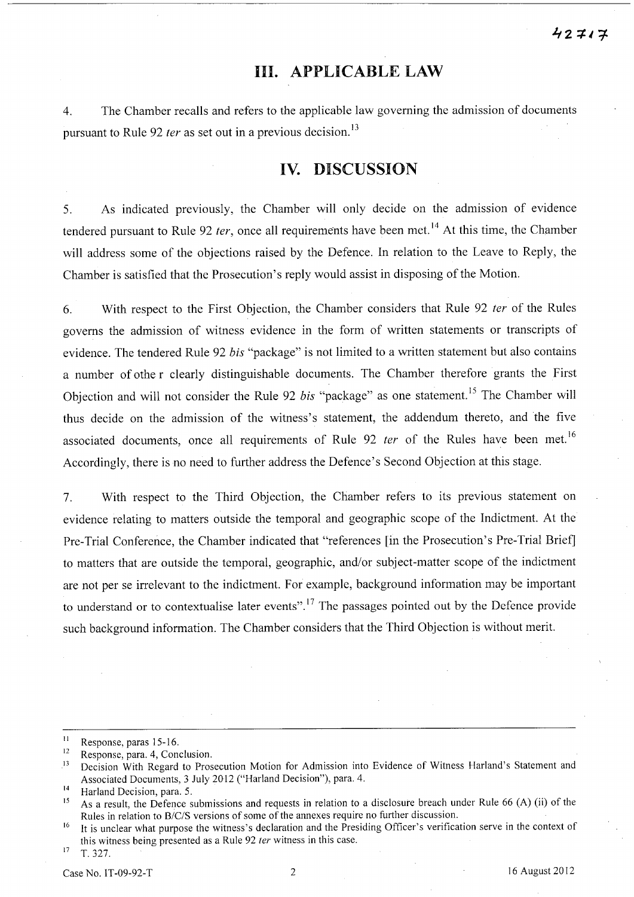# **Ill. APPLICABLE LAW**

4. The Chamber recalls and refers to the applicable law governing the admission of documents pursuant to Rule 92 *ter* as set out in a previous decision.<sup>13</sup>

# **IV. DISCUSSION**

5. As indicated previously, the Chamber will only decide on the admission of evidence tendered pursuant to Rule 92 *ter*, once all requirements have been met.<sup>14</sup> At this time, the Chamber will address some of the objections raised by the Defence. In relation to the Leave to Reply, the Chamber is satisfied that the Prosecution's reply would assist in disposing of the Motion.

6. With respect to the First Objection, the Chamber considers that Rule 92 *ter* of the Rules governs the admission of witness evidence in the form of written statements or transcripts of evidence. The tendered Rule 92 *bis* "package" is not limited to a written statement but also contains a number of othe r clearly distinguishable documents. The Chamber therefore grants the First Objection and will not consider the Rule 92 *bis* "package" as one statement.<sup>15</sup> The Chamber will thus decide on the admission of the witness's statement, the addendum thereto, and the five associated documents, once all requirements of Rule 92 *ter* of the Rules have been met.<sup>16</sup> Accordingly, there is no need to further address the Defence's Second Objection at this stage.

7. With respect to the Third Objection, the Chamber refers to its previous statement on evidence relating to matters outside the temporal and geographic scope of the Indictment. At the Pre-Trial Conference, the Chamber indicated that "references [in the Prosecution's Pre-Trial Brief] to matters that are outside the temporal, geographic, and/or subject-matter scope of the indictment are not per se irrelevant to the indictment. For example, background information may be important to understand or to contextualise later events".<sup>17</sup> The passages pointed out by the Defence provide such background information. The Chamber considers that the Third Objection is without merit.

 $\frac{11}{12}$  Response, paras 15-16.

<sup>&</sup>lt;sup>12</sup> Response, para. 4, Conclusion.<br><sup>13</sup> Decision With Regard to Pros

<sup>13</sup> Decision With Regard to Prosecution Motion for Admission into Evidence of Witness Harland's Statement and Associated Documents, 3 July 2012 ("Harland Decision"), para. 4.

<sup>14</sup> Harland Decision, para. 5.

<sup>&</sup>lt;sup>15</sup> As a result, the Defence submissions and requests in relation to a disclosure breach under Rule 66 (A) (ii) of the Rules in relation to *8/C/S* versions of some of the annexes require no further discussion.

<sup>&</sup>lt;sup>16</sup> It is unclear what purpose the witness's declaration and the Presiding Officer's verification serve in the context of this witness being presented as a Rule 92  $ter$  witness in this case.

 $17$  T. 327.